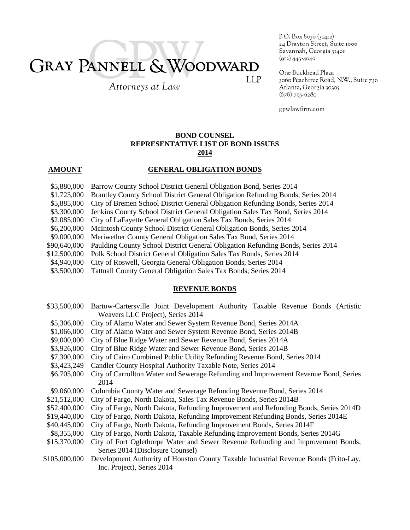# **GRAY PANNELL & WOODWARD LLP**

Attorneys at Law

P.O. Box 8050 (31412) 24 Drayton Street, Suite 1000 Savannah, Georgia 31401  $(912)$  443-4040

One Buckhead Plaza 3060 Peachtree Road, N.W., Suite 730 Atlanta, Georgia 30305  $(678)$  705-6280

gpwlawfirm.com

## **BOND COUNSEL REPRESENTATIVE LIST OF BOND ISSUES 2014**

### **AMOUNT GENERAL OBLIGATION BONDS**

- \$5,880,000 Barrow County School District General Obligation Bond, Series 2014
- \$1,723,000 Brantley County School District General Obligation Refunding Bonds, Series 2014
- \$5,885,000 City of Bremen School District General Obligation Refunding Bonds, Series 2014
- \$3,300,000 Jenkins County School District General Obligation Sales Tax Bond, Series 2014
- \$2,085,000 City of LaFayette General Obligation Sales Tax Bonds, Series 2014
- \$6,200,000 McIntosh County School District General Obligation Bonds, Series 2014
- \$9,000,000 Meriwether County General Obligation Sales Tax Bond, Series 2014
- \$90,640,000 Paulding County School District General Obligation Refunding Bonds, Series 2014
- \$12,500,000 Polk School District General Obligation Sales Tax Bonds, Series 2014
- \$4,940,000 City of Roswell, Georgia General Obligation Bonds, Series 2014
- \$3,500,000 Tattnall County General Obligation Sales Tax Bonds, Series 2014

#### **REVENUE BONDS**

| \$33,500,000  | Bartow-Cartersville Joint Development Authority Taxable Revenue Bonds (Artistic      |
|---------------|--------------------------------------------------------------------------------------|
|               | Weavers LLC Project), Series 2014                                                    |
| \$5,306,000   | City of Alamo Water and Sewer System Revenue Bond, Series 2014A                      |
| \$1,066,000   | City of Alamo Water and Sewer System Revenue Bond, Series 2014B                      |
| \$9,000,000   | City of Blue Ridge Water and Sewer Revenue Bond, Series 2014A                        |
| \$3,926,000   | City of Blue Ridge Water and Sewer Revenue Bond, Series 2014B                        |
| \$7,300,000   | City of Cairo Combined Public Utility Refunding Revenue Bond, Series 2014            |
| \$3,423,249   | Candler County Hospital Authority Taxable Note, Series 2014                          |
| \$6,705,000   | City of Carrollton Water and Sewerage Refunding and Improvement Revenue Bond, Series |
|               | 2014                                                                                 |
| \$9,060,000   | Columbia County Water and Sewerage Refunding Revenue Bond, Series 2014               |
| \$21,512,000  | City of Fargo, North Dakota, Sales Tax Revenue Bonds, Series 2014B                   |
| \$52,400,000  | City of Fargo, North Dakota, Refunding Improvement and Refunding Bonds, Series 2014D |
| \$19,440,000  | City of Fargo, North Dakota, Refunding Improvement Refunding Bonds, Series 2014E     |
| \$40,445,000  | City of Fargo, North Dakota, Refunding Improvement Bonds, Series 2014F               |
| \$8,355,000   | City of Fargo, North Dakota, Taxable Refunding Improvement Bonds, Series 2014G       |
| \$15,370,000  | City of Fort Oglethorpe Water and Sewer Revenue Refunding and Improvement Bonds,     |
|               | Series 2014 (Disclosure Counsel)                                                     |
| \$105,000,000 | Development Authority of Houston County Taxable Industrial Revenue Bonds (Frito-Lay, |
|               | Inc. Project), Series 2014                                                           |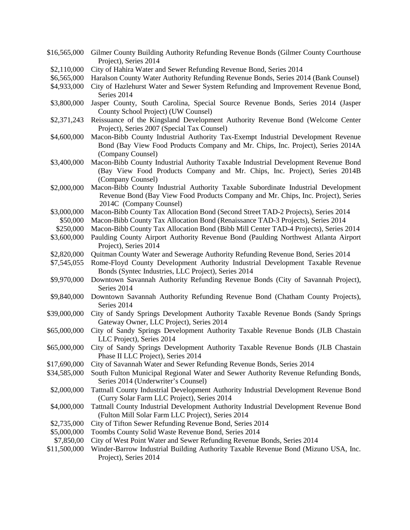- \$16,565,000 Gilmer County Building Authority Refunding Revenue Bonds (Gilmer County Courthouse Project), Series 2014 \$2,110,000 City of Hahira Water and Sewer Refunding Revenue Bond, Series 2014
- \$6,565,000 Haralson County Water Authority Refunding Revenue Bonds, Series 2014 (Bank Counsel)
- \$4,933,000 City of Hazlehurst Water and Sewer System Refunding and Improvement Revenue Bond, Series 2014
- \$3,800,000 Jasper County, South Carolina, Special Source Revenue Bonds, Series 2014 (Jasper County School Project) (UW Counsel)
- \$2,371,243 Reissuance of the Kingsland Development Authority Revenue Bond (Welcome Center Project), Series 2007 (Special Tax Counsel)
- \$4,600,000 Macon-Bibb County Industrial Authority Tax-Exempt Industrial Development Revenue Bond (Bay View Food Products Company and Mr. Chips, Inc. Project), Series 2014A (Company Counsel)
- \$3,400,000 Macon-Bibb County Industrial Authority Taxable Industrial Development Revenue Bond (Bay View Food Products Company and Mr. Chips, Inc. Project), Series 2014B (Company Counsel)
- \$2,000,000 Macon-Bibb County Industrial Authority Taxable Subordinate Industrial Development Revenue Bond (Bay View Food Products Company and Mr. Chips, Inc. Project), Series 2014C (Company Counsel)
- \$3,000,000 Macon-Bibb County Tax Allocation Bond (Second Street TAD-2 Projects), Series 2014
- \$50,000 Macon-Bibb County Tax Allocation Bond (Renaissance TAD-3 Projects), Series 2014
- \$250,000 Macon-Bibb County Tax Allocation Bond (Bibb Mill Center TAD-4 Projects), Series 2014
- \$3,600,000 Paulding County Airport Authority Revenue Bond (Paulding Northwest Atlanta Airport Project), Series 2014
- \$2,820,000 Quitman County Water and Sewerage Authority Refunding Revenue Bond, Series 2014
- \$7,545,055 Rome-Floyd County Development Authority Industrial Development Taxable Revenue Bonds (Syntec Industries, LLC Project), Series 2014
- \$9,970,000 Downtown Savannah Authority Refunding Revenue Bonds (City of Savannah Project), Series 2014
- \$9,840,000 Downtown Savannah Authority Refunding Revenue Bond (Chatham County Projects), Series 2014
- \$39,000,000 City of Sandy Springs Development Authority Taxable Revenue Bonds (Sandy Springs Gateway Owner, LLC Project), Series 2014
- \$65,000,000 City of Sandy Springs Development Authority Taxable Revenue Bonds (JLB Chastain LLC Project), Series 2014
- \$65,000,000 City of Sandy Springs Development Authority Taxable Revenue Bonds (JLB Chastain Phase II LLC Project), Series 2014
- \$17,690,000 City of Savannah Water and Sewer Refunding Revenue Bonds, Series 2014
- \$34,585,000 South Fulton Municipal Regional Water and Sewer Authority Revenue Refunding Bonds, Series 2014 (Underwriter's Counsel)
- \$2,000,000 Tattnall County Industrial Development Authority Industrial Development Revenue Bond (Curry Solar Farm LLC Project), Series 2014
- \$4,000,000 Tattnall County Industrial Development Authority Industrial Development Revenue Bond (Fulton Mill Solar Farm LLC Project), Series 2014
- \$2,735,000 City of Tifton Sewer Refunding Revenue Bond, Series 2014
- \$5,000,000 Toombs County Solid Waste Revenue Bond, Series 2014
- \$7,850,00 City of West Point Water and Sewer Refunding Revenue Bonds, Series 2014
- \$11,500,000 Winder-Barrow Industrial Building Authority Taxable Revenue Bond (Mizuno USA, Inc. Project), Series 2014